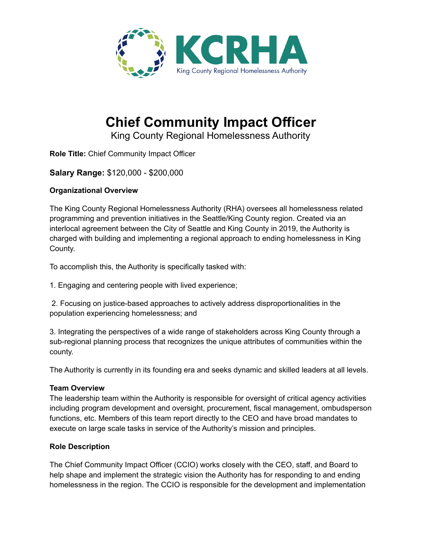

# **Chief Community Impact Officer**

King County Regional Homelessness Authority

**Role Title:** Chief Community Impact Officer

# **Salary Range:** \$120,000 - \$200,000

# **Organizational Overview**

The King County Regional Homelessness Authority (RHA) oversees all homelessness related programming and prevention initiatives in the Seattle/King County region. Created via an interlocal agreement between the City of Seattle and King County in 2019, the Authority is charged with building and implementing a regional approach to ending homelessness in King County.

To accomplish this, the Authority is specifically tasked with:

1. Engaging and centering people with lived experience;

2. Focusing on justice-based approaches to actively address disproportionalities in the population experiencing homelessness; and

3. Integrating the perspectives of a wide range of stakeholders across King County through a sub-regional planning process that recognizes the unique attributes of communities within the county.

The Authority is currently in its founding era and seeks dynamic and skilled leaders at all levels.

# **Team Overview**

The leadership team within the Authority is responsible for oversight of critical agency activities including program development and oversight, procurement, fiscal management, ombudsperson functions, etc. Members of this team report directly to the CEO and have broad mandates to execute on large scale tasks in service of the Authority's mission and principles.

# **Role Description**

The Chief Community Impact Officer (CCIO) works closely with the CEO, staff, and Board to help shape and implement the strategic vision the Authority has for responding to and ending homelessness in the region. The CCIO is responsible for the development and implementation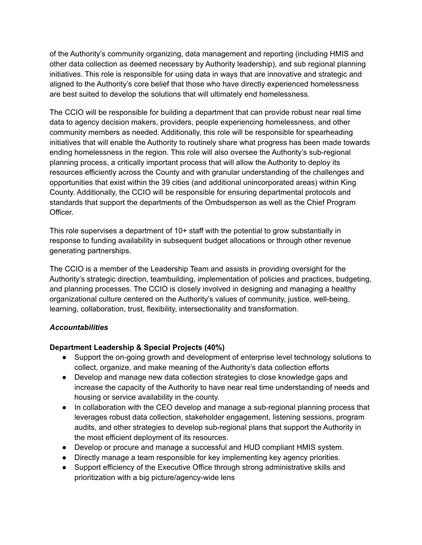of the Authority's community organizing, data management and reporting (including HMIS and other data collection as deemed necessary by Authority leadership), and sub regional planning initiatives. This role is responsible for using data in ways that are innovative and strategic and aligned to the Authority's core belief that those who have directly experienced homelessness are best suited to develop the solutions that will ultimately end homelessness.

The CCIO will be responsible for building a department that can provide robust near real time data to agency decision makers, providers, people experiencing homelessness, and other community members as needed. Additionally, this role will be responsible for spearheading initiatives that will enable the Authority to routinely share what progress has been made towards ending homelessness in the region. This role will also oversee the Authority's sub-regional planning process, a critically important process that will allow the Authority to deploy its resources efficiently across the County and with granular understanding of the challenges and opportunities that exist within the 39 cities (and additional unincorporated areas) within King County. Additionally, the CCIO will be responsible for ensuring departmental protocols and standards that support the departments of the Ombudsperson as well as the Chief Program Officer.

This role supervises a department of 10+ staff with the potential to grow substantially in response to funding availability in subsequent budget allocations or through other revenue generating partnerships.

The CCIO is a member of the Leadership Team and assists in providing oversight for the Authority's strategic direction, teambuilding, implementation of policies and practices, budgeting, and planning processes. The CCIO is closely involved in designing and managing a healthy organizational culture centered on the Authority's values of community, justice, well-being, learning, collaboration, trust, flexibility, intersectionality and transformation.

# *Accountabilities*

# **Department Leadership & Special Projects (40%)**

- Support the on-going growth and development of enterprise level technology solutions to collect, organize, and make meaning of the Authority's data collection efforts
- Develop and manage new data collection strategies to close knowledge gaps and increase the capacity of the Authority to have near real time understanding of needs and housing or service availability in the county.
- In collaboration with the CEO develop and manage a sub-regional planning process that leverages robust data collection, stakeholder engagement, listening sessions, program audits, and other strategies to develop sub-regional plans that support the Authority in the most efficient deployment of its resources.
- Develop or procure and manage a successful and HUD compliant HMIS system.
- Directly manage a team responsible for key implementing key agency priorities.
- Support efficiency of the Executive Office through strong administrative skills and prioritization with a big picture/agency-wide lens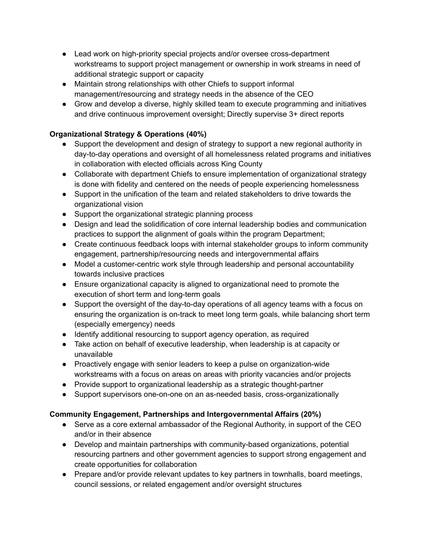- Lead work on high-priority special projects and/or oversee cross-department workstreams to support project management or ownership in work streams in need of additional strategic support or capacity
- Maintain strong relationships with other Chiefs to support informal management/resourcing and strategy needs in the absence of the CEO
- Grow and develop a diverse, highly skilled team to execute programming and initiatives and drive continuous improvement oversight; Directly supervise 3+ direct reports

# **Organizational Strategy & Operations (40%)**

- Support the development and design of strategy to support a new regional authority in day-to-day operations and oversight of all homelessness related programs and initiatives in collaboration with elected officials across King County
- Collaborate with department Chiefs to ensure implementation of organizational strategy is done with fidelity and centered on the needs of people experiencing homelessness
- Support in the unification of the team and related stakeholders to drive towards the organizational vision
- Support the organizational strategic planning process
- Design and lead the solidification of core internal leadership bodies and communication practices to support the alignment of goals within the program Department;
- Create continuous feedback loops with internal stakeholder groups to inform community engagement, partnership/resourcing needs and intergovernmental affairs
- Model a customer-centric work style through leadership and personal accountability towards inclusive practices
- Ensure organizational capacity is aligned to organizational need to promote the execution of short term and long-term goals
- Support the oversight of the day-to-day operations of all agency teams with a focus on ensuring the organization is on-track to meet long term goals, while balancing short term (especially emergency) needs
- Identify additional resourcing to support agency operation, as required
- Take action on behalf of executive leadership, when leadership is at capacity or unavailable
- Proactively engage with senior leaders to keep a pulse on organization-wide workstreams with a focus on areas on areas with priority vacancies and/or projects
- Provide support to organizational leadership as a strategic thought-partner
- Support supervisors one-on-one on an as-needed basis, cross-organizationally

# **Community Engagement, Partnerships and Intergovernmental Affairs (20%)**

- Serve as a core external ambassador of the Regional Authority, in support of the CEO and/or in their absence
- Develop and maintain partnerships with community-based organizations, potential resourcing partners and other government agencies to support strong engagement and create opportunities for collaboration
- Prepare and/or provide relevant updates to key partners in townhalls, board meetings, council sessions, or related engagement and/or oversight structures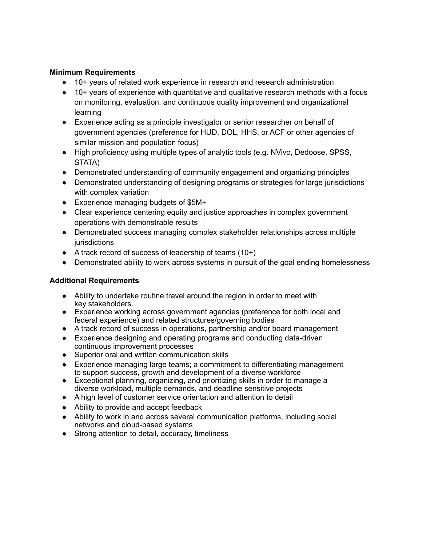#### **Minimum Requirements**

- 10+ years of related work experience in research and research administration
- 10+ years of experience with quantitative and qualitative research methods with a focus on monitoring, evaluation, and continuous quality improvement and organizational learning
- Experience acting as a principle investigator or senior researcher on behalf of government agencies (preference for HUD, DOL, HHS, or ACF or other agencies of similar mission and population focus)
- High proficiency using multiple types of analytic tools (e.g. NVivo, Dedoose, SPSS, STATA)
- Demonstrated understanding of community engagement and organizing principles
- Demonstrated understanding of designing programs or strategies for large jurisdictions with complex variation
- Experience managing budgets of \$5M+
- Clear experience centering equity and justice approaches in complex government operations with demonstrable results
- Demonstrated success managing complex stakeholder relationships across multiple jurisdictions
- $\bullet$  A track record of success of leadership of teams (10+)
- Demonstrated ability to work across systems in pursuit of the goal ending homelessness

# **Additional Requirements**

- Ability to undertake routine travel around the region in order to meet with key stakeholders.
- Experience working across government agencies (preference for both local and federal experience) and related structures/governing bodies
- A track record of success in operations, partnership and/or board management
- Experience designing and operating programs and conducting data-driven continuous improvement processes
- Superior oral and written communication skills
- Experience managing large teams; a commitment to differentiating management to support success, growth and development of a diverse workforce
- Exceptional planning, organizing, and prioritizing skills in order to manage a diverse workload, multiple demands, and deadline sensitive projects
- A high level of customer service orientation and attention to detail
- Ability to provide and accept feedback
- Ability to work in and across several communication platforms, including social networks and cloud-based systems
- Strong attention to detail, accuracy, timeliness